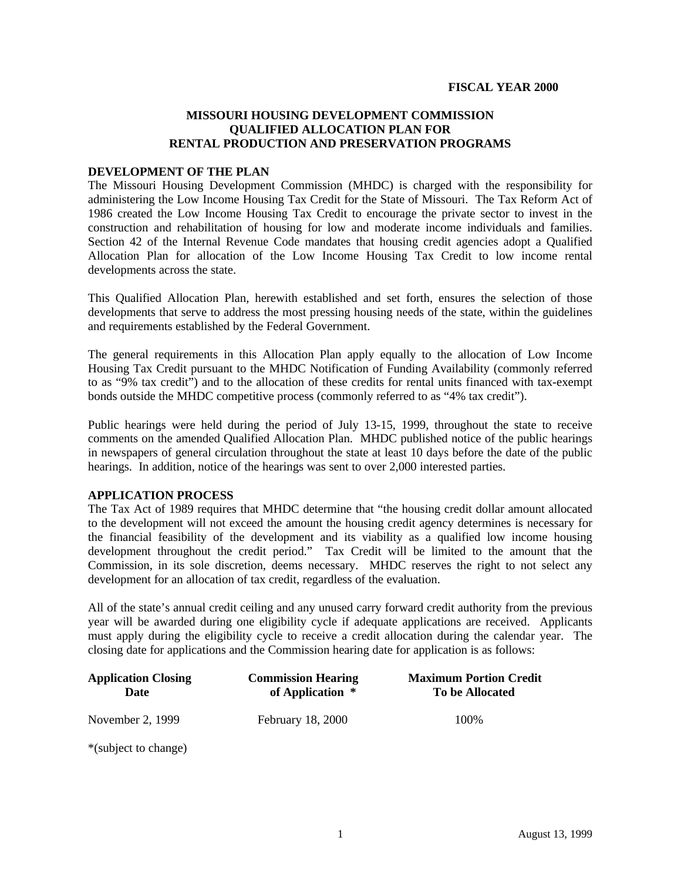# **MISSOURI HOUSING DEVELOPMENT COMMISSION QUALIFIED ALLOCATION PLAN FOR RENTAL PRODUCTION AND PRESERVATION PROGRAMS**

### **DEVELOPMENT OF THE PLAN**

The Missouri Housing Development Commission (MHDC) is charged with the responsibility for administering the Low Income Housing Tax Credit for the State of Missouri. The Tax Reform Act of 1986 created the Low Income Housing Tax Credit to encourage the private sector to invest in the construction and rehabilitation of housing for low and moderate income individuals and families. Section 42 of the Internal Revenue Code mandates that housing credit agencies adopt a Qualified Allocation Plan for allocation of the Low Income Housing Tax Credit to low income rental developments across the state.

This Qualified Allocation Plan, herewith established and set forth, ensures the selection of those developments that serve to address the most pressing housing needs of the state, within the guidelines and requirements established by the Federal Government.

The general requirements in this Allocation Plan apply equally to the allocation of Low Income Housing Tax Credit pursuant to the MHDC Notification of Funding Availability (commonly referred to as "9% tax credit") and to the allocation of these credits for rental units financed with tax-exempt bonds outside the MHDC competitive process (commonly referred to as "4% tax credit").

Public hearings were held during the period of July 13-15, 1999, throughout the state to receive comments on the amended Qualified Allocation Plan. MHDC published notice of the public hearings in newspapers of general circulation throughout the state at least 10 days before the date of the public hearings. In addition, notice of the hearings was sent to over 2,000 interested parties.

### **APPLICATION PROCESS**

The Tax Act of 1989 requires that MHDC determine that "the housing credit dollar amount allocated to the development will not exceed the amount the housing credit agency determines is necessary for the financial feasibility of the development and its viability as a qualified low income housing development throughout the credit period." Tax Credit will be limited to the amount that the Commission, in its sole discretion, deems necessary. MHDC reserves the right to not select any development for an allocation of tax credit, regardless of the evaluation.

All of the state's annual credit ceiling and any unused carry forward credit authority from the previous year will be awarded during one eligibility cycle if adequate applications are received. Applicants must apply during the eligibility cycle to receive a credit allocation during the calendar year. The closing date for applications and the Commission hearing date for application is as follows:

| <b>Application Closing</b><br>Date                                                                                              | <b>Commission Hearing</b><br>of Application * | <b>Maximum Portion Credit</b><br>To be Allocated |
|---------------------------------------------------------------------------------------------------------------------------------|-----------------------------------------------|--------------------------------------------------|
| November 2, 1999                                                                                                                | February 18, 2000                             | 100\%                                            |
| $\mathbf{u} \cdot \mathbf{v} = \mathbf{u} \cdot \mathbf{v}$ , where $\mathbf{u} \cdot \mathbf{v} = \mathbf{v} \cdot \mathbf{v}$ |                                               |                                                  |

\*(subject to change)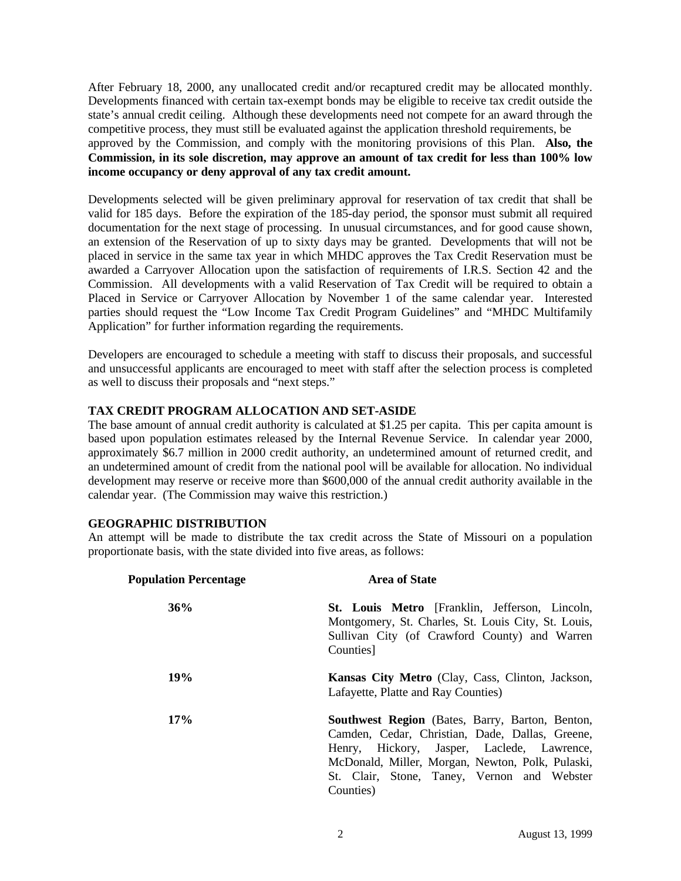After February 18, 2000, any unallocated credit and/or recaptured credit may be allocated monthly. Developments financed with certain tax-exempt bonds may be eligible to receive tax credit outside the state's annual credit ceiling. Although these developments need not compete for an award through the competitive process, they must still be evaluated against the application threshold requirements, be approved by the Commission, and comply with the monitoring provisions of this Plan. **Also, the Commission, in its sole discretion, may approve an amount of tax credit for less than 100% low income occupancy or deny approval of any tax credit amount.**

Developments selected will be given preliminary approval for reservation of tax credit that shall be valid for 185 days. Before the expiration of the 185-day period, the sponsor must submit all required documentation for the next stage of processing. In unusual circumstances, and for good cause shown, an extension of the Reservation of up to sixty days may be granted. Developments that will not be placed in service in the same tax year in which MHDC approves the Tax Credit Reservation must be awarded a Carryover Allocation upon the satisfaction of requirements of I.R.S. Section 42 and the Commission. All developments with a valid Reservation of Tax Credit will be required to obtain a Placed in Service or Carryover Allocation by November 1 of the same calendar year. Interested parties should request the "Low Income Tax Credit Program Guidelines" and "MHDC Multifamily Application" for further information regarding the requirements.

Developers are encouraged to schedule a meeting with staff to discuss their proposals, and successful and unsuccessful applicants are encouraged to meet with staff after the selection process is completed as well to discuss their proposals and "next steps."

## **TAX CREDIT PROGRAM ALLOCATION AND SET-ASIDE**

The base amount of annual credit authority is calculated at \$1.25 per capita. This per capita amount is based upon population estimates released by the Internal Revenue Service. In calendar year 2000, approximately \$6.7 million in 2000 credit authority, an undetermined amount of returned credit, and an undetermined amount of credit from the national pool will be available for allocation. No individual development may reserve or receive more than \$600,000 of the annual credit authority available in the calendar year. (The Commission may waive this restriction.)

## **GEOGRAPHIC DISTRIBUTION**

An attempt will be made to distribute the tax credit across the State of Missouri on a population proportionate basis, with the state divided into five areas, as follows:

| <b>Population Percentage</b> | <b>Area of State</b>                                                                                                                                                                                                                                                    |  |
|------------------------------|-------------------------------------------------------------------------------------------------------------------------------------------------------------------------------------------------------------------------------------------------------------------------|--|
| 36%                          | St. Louis Metro [Franklin, Jefferson, Lincoln,<br>Montgomery, St. Charles, St. Louis City, St. Louis,<br>Sullivan City (of Crawford County) and Warren<br>Counties]                                                                                                     |  |
| <b>19%</b>                   | <b>Kansas City Metro</b> (Clay, Cass, Clinton, Jackson,<br>Lafayette, Platte and Ray Counties)                                                                                                                                                                          |  |
| 17%                          | <b>Southwest Region</b> (Bates, Barry, Barton, Benton,<br>Camden, Cedar, Christian, Dade, Dallas, Greene,<br>Henry, Hickory, Jasper, Laclede, Lawrence,<br>McDonald, Miller, Morgan, Newton, Polk, Pulaski,<br>St. Clair, Stone, Taney, Vernon and Webster<br>Counties) |  |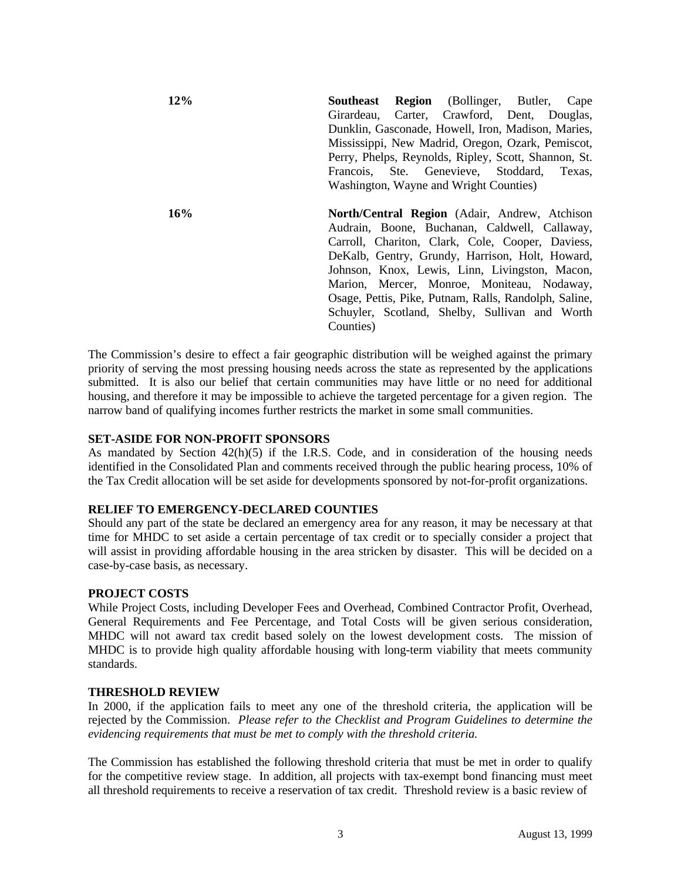**12% Southeast Region** (Bollinger, Butler, Cape Girardeau, Carter, Crawford, Dent, Douglas, Dunklin, Gasconade, Howell, Iron, Madison, Maries, Mississippi, New Madrid, Oregon, Ozark, Pemiscot, Perry, Phelps, Reynolds, Ripley, Scott, Shannon, St. Francois, Ste. Genevieve, Stoddard, Texas, Washington, Wayne and Wright Counties) **16% North/Central Region** (Adair, Andrew, Atchison

Audrain, Boone, Buchanan, Caldwell, Callaway, Carroll, Chariton, Clark, Cole, Cooper, Daviess, DeKalb, Gentry, Grundy, Harrison, Holt, Howard, Johnson, Knox, Lewis, Linn, Livingston, Macon, Marion, Mercer, Monroe, Moniteau, Nodaway, Osage, Pettis, Pike, Putnam, Ralls, Randolph, Saline, Schuyler, Scotland, Shelby, Sullivan and Worth Counties)

The Commission's desire to effect a fair geographic distribution will be weighed against the primary priority of serving the most pressing housing needs across the state as represented by the applications submitted. It is also our belief that certain communities may have little or no need for additional housing, and therefore it may be impossible to achieve the targeted percentage for a given region. The narrow band of qualifying incomes further restricts the market in some small communities.

### **SET-ASIDE FOR NON-PROFIT SPONSORS**

As mandated by Section 42(h)(5) if the I.R.S. Code, and in consideration of the housing needs identified in the Consolidated Plan and comments received through the public hearing process, 10% of the Tax Credit allocation will be set aside for developments sponsored by not-for-profit organizations.

### **RELIEF TO EMERGENCY-DECLARED COUNTIES**

Should any part of the state be declared an emergency area for any reason, it may be necessary at that time for MHDC to set aside a certain percentage of tax credit or to specially consider a project that will assist in providing affordable housing in the area stricken by disaster. This will be decided on a case-by-case basis, as necessary.

### **PROJECT COSTS**

While Project Costs, including Developer Fees and Overhead, Combined Contractor Profit, Overhead, General Requirements and Fee Percentage, and Total Costs will be given serious consideration, MHDC will not award tax credit based solely on the lowest development costs. The mission of MHDC is to provide high quality affordable housing with long-term viability that meets community standards.

### **THRESHOLD REVIEW**

In 2000, if the application fails to meet any one of the threshold criteria, the application will be rejected by the Commission. *Please refer to the Checklist and Program Guidelines to determine the evidencing requirements that must be met to comply with the threshold criteria.*

The Commission has established the following threshold criteria that must be met in order to qualify for the competitive review stage. In addition, all projects with tax-exempt bond financing must meet all threshold requirements to receive a reservation of tax credit. Threshold review is a basic review of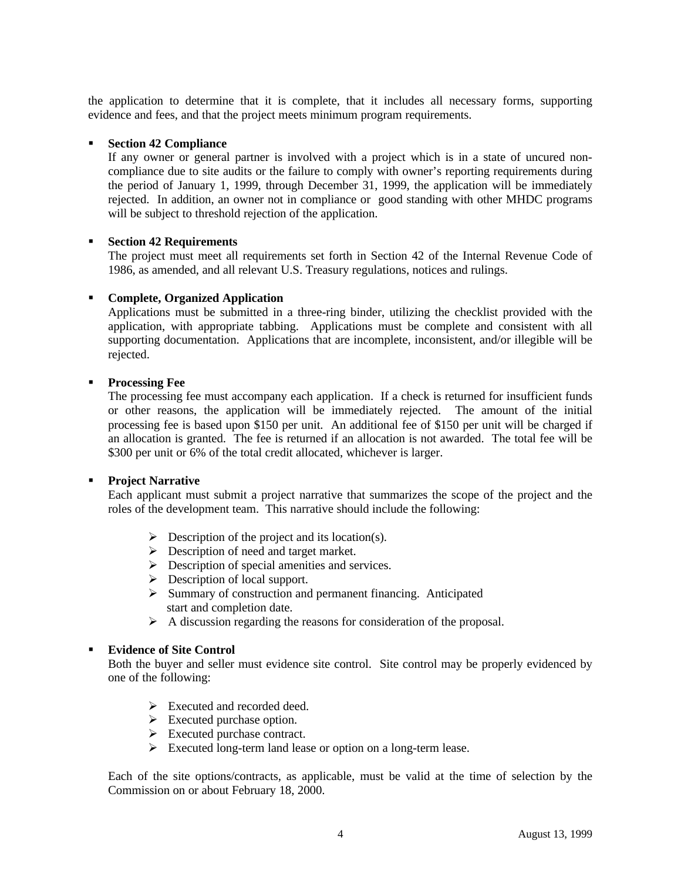the application to determine that it is complete, that it includes all necessary forms, supporting evidence and fees, and that the project meets minimum program requirements.

### ß **Section 42 Compliance**

If any owner or general partner is involved with a project which is in a state of uncured noncompliance due to site audits or the failure to comply with owner's reporting requirements during the period of January 1, 1999, through December 31, 1999, the application will be immediately rejected. In addition, an owner not in compliance or good standing with other MHDC programs will be subject to threshold rejection of the application.

### ß **Section 42 Requirements**

The project must meet all requirements set forth in Section 42 of the Internal Revenue Code of 1986, as amended, and all relevant U.S. Treasury regulations, notices and rulings.

### ß **Complete, Organized Application**

Applications must be submitted in a three-ring binder, utilizing the checklist provided with the application, with appropriate tabbing. Applications must be complete and consistent with all supporting documentation. Applications that are incomplete, inconsistent, and/or illegible will be rejected.

### **Processing Fee**

The processing fee must accompany each application. If a check is returned for insufficient funds or other reasons, the application will be immediately rejected. The amount of the initial processing fee is based upon \$150 per unit. An additional fee of \$150 per unit will be charged if an allocation is granted. The fee is returned if an allocation is not awarded. The total fee will be \$300 per unit or 6% of the total credit allocated, whichever is larger.

### **Project Narrative**

Each applicant must submit a project narrative that summarizes the scope of the project and the roles of the development team. This narrative should include the following:

- $\triangleright$  Description of the project and its location(s).
- $\triangleright$  Description of need and target market.
- $\triangleright$  Description of special amenities and services.
- $\triangleright$  Description of local support.
- > Summary of construction and permanent financing. Anticipated start and completion date.
- $\triangleright$  A discussion regarding the reasons for consideration of the proposal.

### ß **Evidence of Site Control**

Both the buyer and seller must evidence site control. Site control may be properly evidenced by one of the following:

- $\triangleright$  Executed and recorded deed.
- $\triangleright$  Executed purchase option.
- $\triangleright$  Executed purchase contract.
- $\triangleright$  Executed long-term land lease or option on a long-term lease.

Each of the site options/contracts, as applicable, must be valid at the time of selection by the Commission on or about February 18, 2000.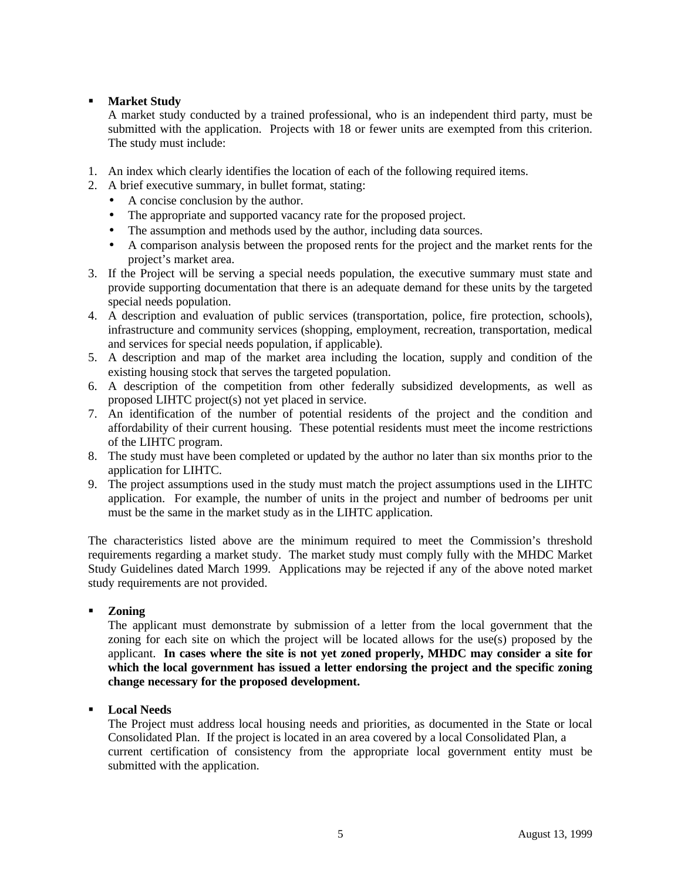# **Karket Study**

A market study conducted by a trained professional, who is an independent third party, must be submitted with the application. Projects with 18 or fewer units are exempted from this criterion. The study must include:

- 1. An index which clearly identifies the location of each of the following required items.
- 2. A brief executive summary, in bullet format, stating:
	- A concise conclusion by the author.
	- The appropriate and supported vacancy rate for the proposed project.
	- The assumption and methods used by the author, including data sources.
	- A comparison analysis between the proposed rents for the project and the market rents for the project's market area.
- 3. If the Project will be serving a special needs population, the executive summary must state and provide supporting documentation that there is an adequate demand for these units by the targeted special needs population.
- 4. A description and evaluation of public services (transportation, police, fire protection, schools), infrastructure and community services (shopping, employment, recreation, transportation, medical and services for special needs population, if applicable).
- 5. A description and map of the market area including the location, supply and condition of the existing housing stock that serves the targeted population.
- 6. A description of the competition from other federally subsidized developments, as well as proposed LIHTC project(s) not yet placed in service.
- 7. An identification of the number of potential residents of the project and the condition and affordability of their current housing. These potential residents must meet the income restrictions of the LIHTC program.
- 8. The study must have been completed or updated by the author no later than six months prior to the application for LIHTC.
- 9. The project assumptions used in the study must match the project assumptions used in the LIHTC application. For example, the number of units in the project and number of bedrooms per unit must be the same in the market study as in the LIHTC application.

The characteristics listed above are the minimum required to meet the Commission's threshold requirements regarding a market study. The market study must comply fully with the MHDC Market Study Guidelines dated March 1999. Applications may be rejected if any of the above noted market study requirements are not provided.

## ß **Zoning**

The applicant must demonstrate by submission of a letter from the local government that the zoning for each site on which the project will be located allows for the use(s) proposed by the applicant. **In cases where the site is not yet zoned properly, MHDC may consider a site for which the local government has issued a letter endorsing the project and the specific zoning change necessary for the proposed development.**

ß **Local Needs**

The Project must address local housing needs and priorities, as documented in the State or local Consolidated Plan. If the project is located in an area covered by a local Consolidated Plan, a current certification of consistency from the appropriate local government entity must be submitted with the application.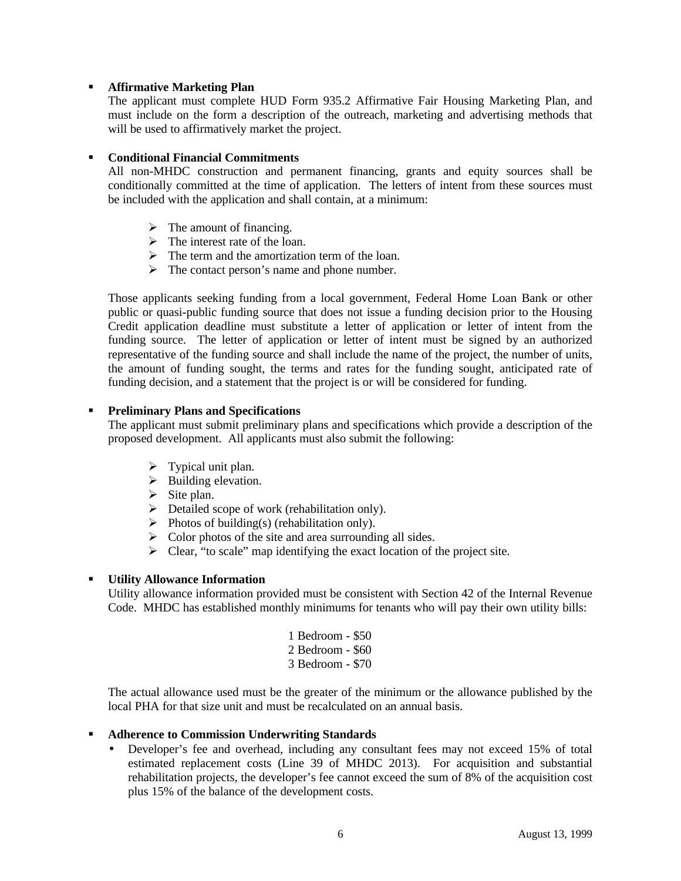### **KRITE Affirmative Marketing Plan**

The applicant must complete HUD Form 935.2 Affirmative Fair Housing Marketing Plan, and must include on the form a description of the outreach, marketing and advertising methods that will be used to affirmatively market the project.

### ß **Conditional Financial Commitments**

All non-MHDC construction and permanent financing, grants and equity sources shall be conditionally committed at the time of application. The letters of intent from these sources must be included with the application and shall contain, at a minimum:

- $\triangleright$  The amount of financing.
- $\triangleright$  The interest rate of the loan.
- $\triangleright$  The term and the amortization term of the loan.
- $\triangleright$  The contact person's name and phone number.

Those applicants seeking funding from a local government, Federal Home Loan Bank or other public or quasi-public funding source that does not issue a funding decision prior to the Housing Credit application deadline must substitute a letter of application or letter of intent from the funding source. The letter of application or letter of intent must be signed by an authorized representative of the funding source and shall include the name of the project, the number of units, the amount of funding sought, the terms and rates for the funding sought, anticipated rate of funding decision, and a statement that the project is or will be considered for funding.

## **Preliminary Plans and Specifications**

The applicant must submit preliminary plans and specifications which provide a description of the proposed development. All applicants must also submit the following:

- $\triangleright$  Typical unit plan.
- $\triangleright$  Building elevation.
- $\triangleright$  Site plan.
- $\triangleright$  Detailed scope of work (rehabilitation only).
- $\triangleright$  Photos of building(s) (rehabilitation only).
- $\triangleright$  Color photos of the site and area surrounding all sides.
- $\triangleright$  Clear, "to scale" map identifying the exact location of the project site.

## ß **Utility Allowance Information**

Utility allowance information provided must be consistent with Section 42 of the Internal Revenue Code. MHDC has established monthly minimums for tenants who will pay their own utility bills:

| 1 Bedroom - \$50 |  |
|------------------|--|
| 2 Bedroom - \$60 |  |
| 3 Bedroom - \$70 |  |

The actual allowance used must be the greater of the minimum or the allowance published by the local PHA for that size unit and must be recalculated on an annual basis.

## **EXECUTE:** Adherence to Commission Underwriting Standards

• Developer's fee and overhead, including any consultant fees may not exceed 15% of total estimated replacement costs (Line 39 of MHDC 2013). For acquisition and substantial rehabilitation projects, the developer's fee cannot exceed the sum of 8% of the acquisition cost plus 15% of the balance of the development costs.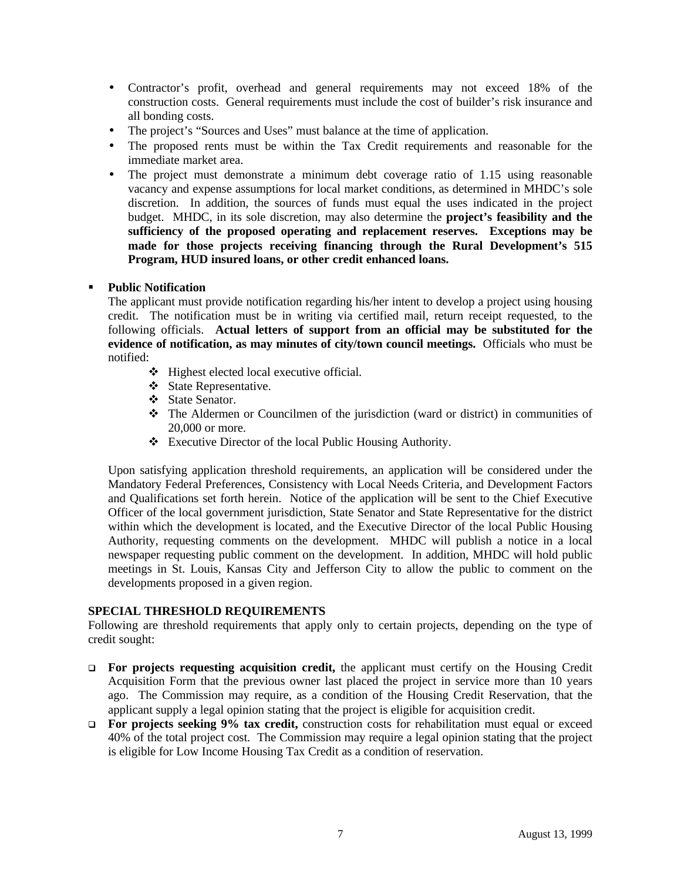- Contractor's profit, overhead and general requirements may not exceed 18% of the construction costs. General requirements must include the cost of builder's risk insurance and all bonding costs.
- The project's "Sources and Uses" must balance at the time of application.
- The proposed rents must be within the Tax Credit requirements and reasonable for the immediate market area.
- The project must demonstrate a minimum debt coverage ratio of 1.15 using reasonable vacancy and expense assumptions for local market conditions, as determined in MHDC's sole discretion. In addition, the sources of funds must equal the uses indicated in the project budget. MHDC, in its sole discretion, may also determine the **project's feasibility and the sufficiency of the proposed operating and replacement reserves. Exceptions may be made for those projects receiving financing through the Rural Development's 515 Program, HUD insured loans, or other credit enhanced loans.**

## ß **Public Notification**

The applicant must provide notification regarding his/her intent to develop a project using housing credit. The notification must be in writing via certified mail, return receipt requested, to the following officials. **Actual letters of support from an official may be substituted for the evidence of notification, as may minutes of city/town council meetings.** Officials who must be notified:

- $\bullet$  Highest elected local executive official.
- ❖ State Representative.
- State Senator.
- $\triangleleft$  The Aldermen or Councilmen of the jurisdiction (ward or district) in communities of 20,000 or more.
- $\triangle$  Executive Director of the local Public Housing Authority.

Upon satisfying application threshold requirements, an application will be considered under the Mandatory Federal Preferences, Consistency with Local Needs Criteria, and Development Factors and Qualifications set forth herein. Notice of the application will be sent to the Chief Executive Officer of the local government jurisdiction, State Senator and State Representative for the district within which the development is located, and the Executive Director of the local Public Housing Authority, requesting comments on the development. MHDC will publish a notice in a local newspaper requesting public comment on the development. In addition, MHDC will hold public meetings in St. Louis, Kansas City and Jefferson City to allow the public to comment on the developments proposed in a given region.

## **SPECIAL THRESHOLD REQUIREMENTS**

Following are threshold requirements that apply only to certain projects, depending on the type of credit sought:

- q **For projects requesting acquisition credit,** the applicant must certify on the Housing Credit Acquisition Form that the previous owner last placed the project in service more than 10 years ago. The Commission may require, as a condition of the Housing Credit Reservation, that the applicant supply a legal opinion stating that the project is eligible for acquisition credit.
- q **For projects seeking 9% tax credit,** construction costs for rehabilitation must equal or exceed 40% of the total project cost. The Commission may require a legal opinion stating that the project is eligible for Low Income Housing Tax Credit as a condition of reservation.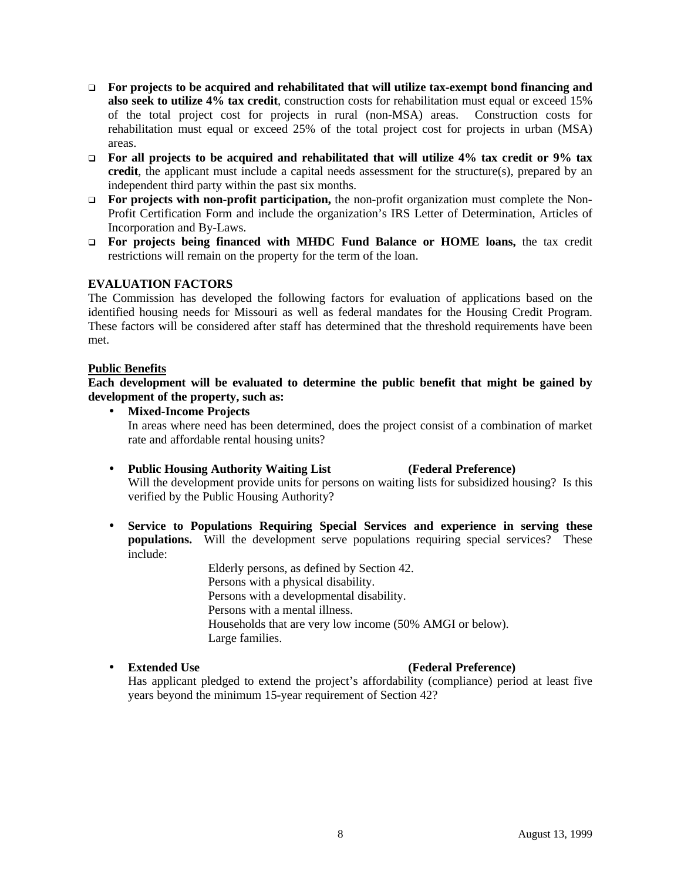- q **For projects to be acquired and rehabilitated that will utilize tax-exempt bond financing and also seek to utilize 4% tax credit**, construction costs for rehabilitation must equal or exceed 15% of the total project cost for projects in rural (non-MSA) areas. Construction costs for rehabilitation must equal or exceed 25% of the total project cost for projects in urban (MSA) areas.
- q **For all projects to be acquired and rehabilitated that will utilize 4% tax credit or 9% tax credit**, the applicant must include a capital needs assessment for the structure(s), prepared by an independent third party within the past six months.
- **For projects with non-profit participation,** the non-profit organization must complete the Non-Profit Certification Form and include the organization's IRS Letter of Determination, Articles of Incorporation and By-Laws.
- □ **For projects being financed with MHDC Fund Balance or HOME loans,** the tax credit restrictions will remain on the property for the term of the loan.

# **EVALUATION FACTORS**

The Commission has developed the following factors for evaluation of applications based on the identified housing needs for Missouri as well as federal mandates for the Housing Credit Program. These factors will be considered after staff has determined that the threshold requirements have been met.

### **Public Benefits**

**Each development will be evaluated to determine the public benefit that might be gained by development of the property, such as:**

- **Mixed-Income Projects** In areas where need has been determined, does the project consist of a combination of market rate and affordable rental housing units?
- **Public Housing Authority Waiting List (Federal Preference)** Will the development provide units for persons on waiting lists for subsidized housing? Is this verified by the Public Housing Authority?
- **Service to Populations Requiring Special Services and experience in serving these populations.** Will the development serve populations requiring special services? These include:

Elderly persons, as defined by Section 42. Persons with a physical disability. Persons with a developmental disability. Persons with a mental illness. Households that are very low income (50% AMGI or below). Large families.

## • **Extended Use (Federal Preference)**

Has applicant pledged to extend the project's affordability (compliance) period at least five years beyond the minimum 15-year requirement of Section 42?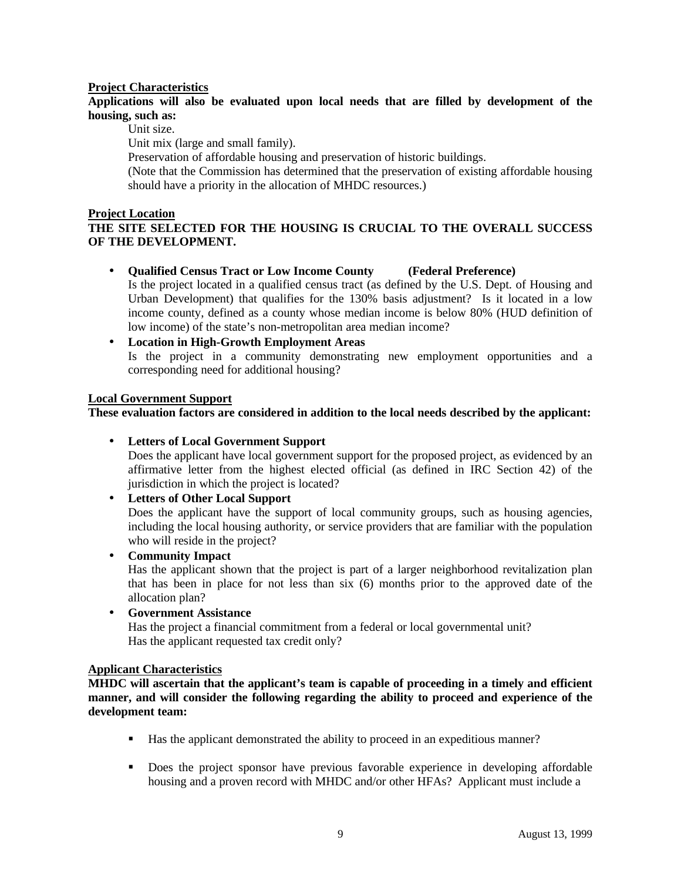## **Project Characteristics**

## **Applications will also be evaluated upon local needs that are filled by development of the housing, such as:**

Unit size.

Unit mix (large and small family).

Preservation of affordable housing and preservation of historic buildings.

(Note that the Commission has determined that the preservation of existing affordable housing should have a priority in the allocation of MHDC resources.)

### **Project Location**

# **THE SITE SELECTED FOR THE HOUSING IS CRUCIAL TO THE OVERALL SUCCESS OF THE DEVELOPMENT.**

- **Qualified Census Tract or Low Income County (Federal Preference)** Is the project located in a qualified census tract (as defined by the U.S. Dept. of Housing and Urban Development) that qualifies for the 130% basis adjustment? Is it located in a low income county, defined as a county whose median income is below 80% (HUD definition of low income) of the state's non-metropolitan area median income?
- **Location in High-Growth Employment Areas** Is the project in a community demonstrating new employment opportunities and a corresponding need for additional housing?

### **Local Government Support**

**These evaluation factors are considered in addition to the local needs described by the applicant:**

• **Letters of Local Government Support**

Does the applicant have local government support for the proposed project, as evidenced by an affirmative letter from the highest elected official (as defined in IRC Section 42) of the jurisdiction in which the project is located?

• **Letters of Other Local Support**

Does the applicant have the support of local community groups, such as housing agencies, including the local housing authority, or service providers that are familiar with the population who will reside in the project?

• **Community Impact**

Has the applicant shown that the project is part of a larger neighborhood revitalization plan that has been in place for not less than six (6) months prior to the approved date of the allocation plan?

• **Government Assistance**

Has the project a financial commitment from a federal or local governmental unit? Has the applicant requested tax credit only?

### **Applicant Characteristics**

**MHDC will ascertain that the applicant's team is capable of proceeding in a timely and efficient manner, and will consider the following regarding the ability to proceed and experience of the development team:**

- ß Has the applicant demonstrated the ability to proceed in an expeditious manner?
- Does the project sponsor have previous favorable experience in developing affordable housing and a proven record with MHDC and/or other HFAs? Applicant must include a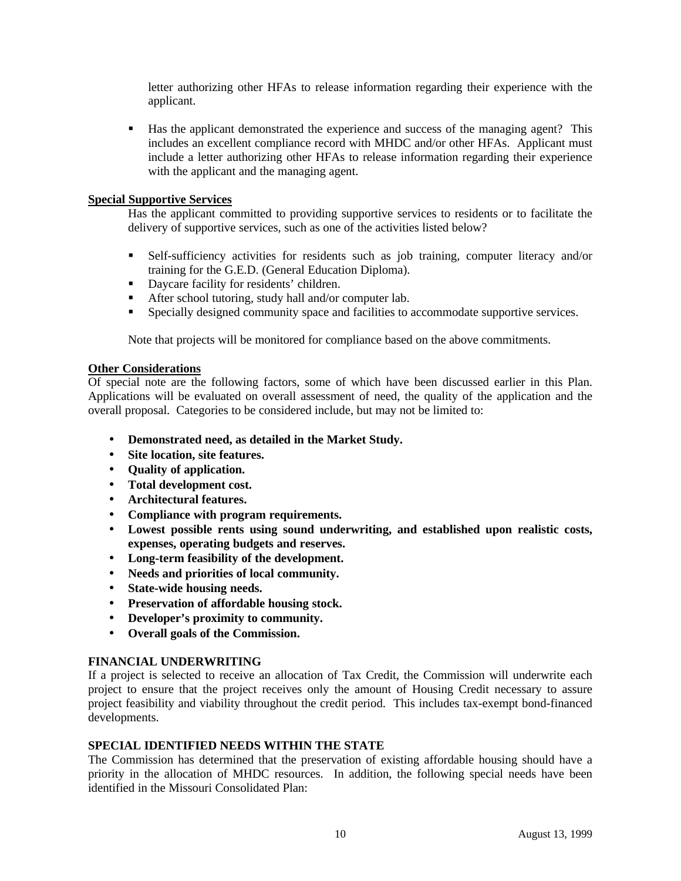letter authorizing other HFAs to release information regarding their experience with the applicant.

**Has the applicant demonstrated the experience and success of the managing agent?** This includes an excellent compliance record with MHDC and/or other HFAs. Applicant must include a letter authorizing other HFAs to release information regarding their experience with the applicant and the managing agent.

## **Special Supportive Services**

Has the applicant committed to providing supportive services to residents or to facilitate the delivery of supportive services, such as one of the activities listed below?

- **Belf-sufficiency activities for residents such as job training, computer literacy and/or** training for the G.E.D. (General Education Diploma).
- Daycare facility for residents' children.
- **•** After school tutoring, study hall and/or computer lab.
- ß Specially designed community space and facilities to accommodate supportive services.

Note that projects will be monitored for compliance based on the above commitments.

## **Other Considerations**

Of special note are the following factors, some of which have been discussed earlier in this Plan. Applications will be evaluated on overall assessment of need, the quality of the application and the overall proposal. Categories to be considered include, but may not be limited to:

- **Demonstrated need, as detailed in the Market Study.**
- **Site location, site features.**
- **Quality of application.**
- **Total development cost.**
- **Architectural features.**
- **Compliance with program requirements.**
- **Lowest possible rents using sound underwriting, and established upon realistic costs, expenses, operating budgets and reserves.**
- **Long-term feasibility of the development.**
- **Needs and priorities of local community.**
- **State-wide housing needs.**
- **Preservation of affordable housing stock.**
- **Developer's proximity to community.**
- **Overall goals of the Commission.**

## **FINANCIAL UNDERWRITING**

If a project is selected to receive an allocation of Tax Credit, the Commission will underwrite each project to ensure that the project receives only the amount of Housing Credit necessary to assure project feasibility and viability throughout the credit period. This includes tax-exempt bond-financed developments.

## **SPECIAL IDENTIFIED NEEDS WITHIN THE STATE**

The Commission has determined that the preservation of existing affordable housing should have a priority in the allocation of MHDC resources. In addition, the following special needs have been identified in the Missouri Consolidated Plan: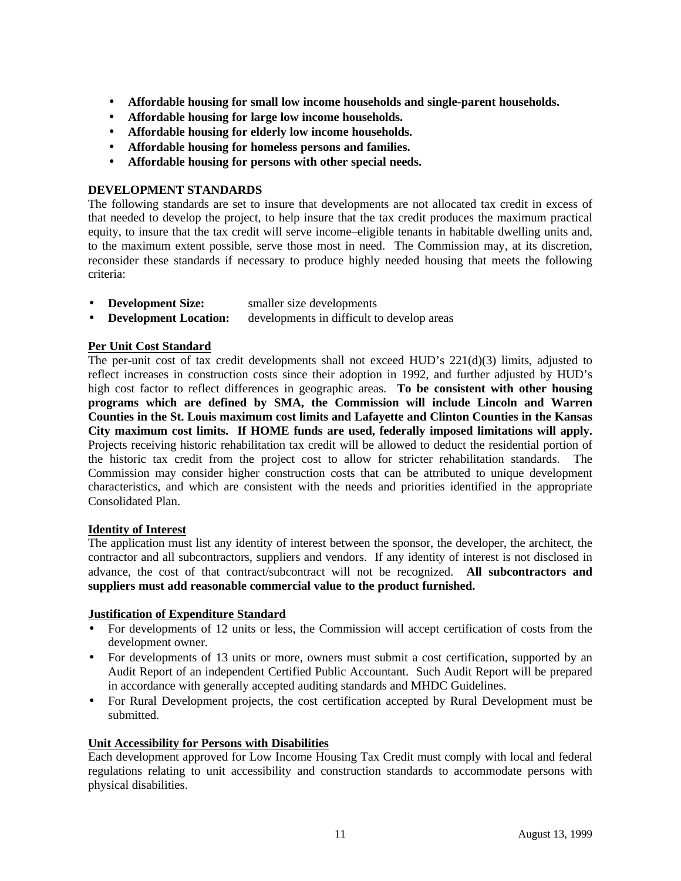- **Affordable housing for small low income households and single-parent households.**
- **Affordable housing for large low income households.**
- **Affordable housing for elderly low income households.**
- **Affordable housing for homeless persons and families.**
- **Affordable housing for persons with other special needs.**

## **DEVELOPMENT STANDARDS**

The following standards are set to insure that developments are not allocated tax credit in excess of that needed to develop the project, to help insure that the tax credit produces the maximum practical equity, to insure that the tax credit will serve income–eligible tenants in habitable dwelling units and, to the maximum extent possible, serve those most in need. The Commission may, at its discretion, reconsider these standards if necessary to produce highly needed housing that meets the following criteria:

- **Development Size:** smaller size developments
- **Development Location:** developments in difficult to develop areas

## **Per Unit Cost Standard**

The per-unit cost of tax credit developments shall not exceed HUD's 221(d)(3) limits, adjusted to reflect increases in construction costs since their adoption in 1992, and further adjusted by HUD's high cost factor to reflect differences in geographic areas. **To be consistent with other housing programs which are defined by SMA, the Commission will include Lincoln and Warren Counties in the St. Louis maximum cost limits and Lafayette and Clinton Counties in the Kansas City maximum cost limits. If HOME funds are used, federally imposed limitations will apply.** Projects receiving historic rehabilitation tax credit will be allowed to deduct the residential portion of the historic tax credit from the project cost to allow for stricter rehabilitation standards. The Commission may consider higher construction costs that can be attributed to unique development characteristics, and which are consistent with the needs and priorities identified in the appropriate Consolidated Plan.

## **Identity of Interest**

The application must list any identity of interest between the sponsor, the developer, the architect, the contractor and all subcontractors, suppliers and vendors. If any identity of interest is not disclosed in advance, the cost of that contract/subcontract will not be recognized. **All subcontractors and suppliers must add reasonable commercial value to the product furnished.**

## **Justification of Expenditure Standard**

- For developments of 12 units or less, the Commission will accept certification of costs from the development owner.
- For developments of 13 units or more, owners must submit a cost certification, supported by an Audit Report of an independent Certified Public Accountant. Such Audit Report will be prepared in accordance with generally accepted auditing standards and MHDC Guidelines.
- For Rural Development projects, the cost certification accepted by Rural Development must be submitted.

## **Unit Accessibility for Persons with Disabilities**

Each development approved for Low Income Housing Tax Credit must comply with local and federal regulations relating to unit accessibility and construction standards to accommodate persons with physical disabilities.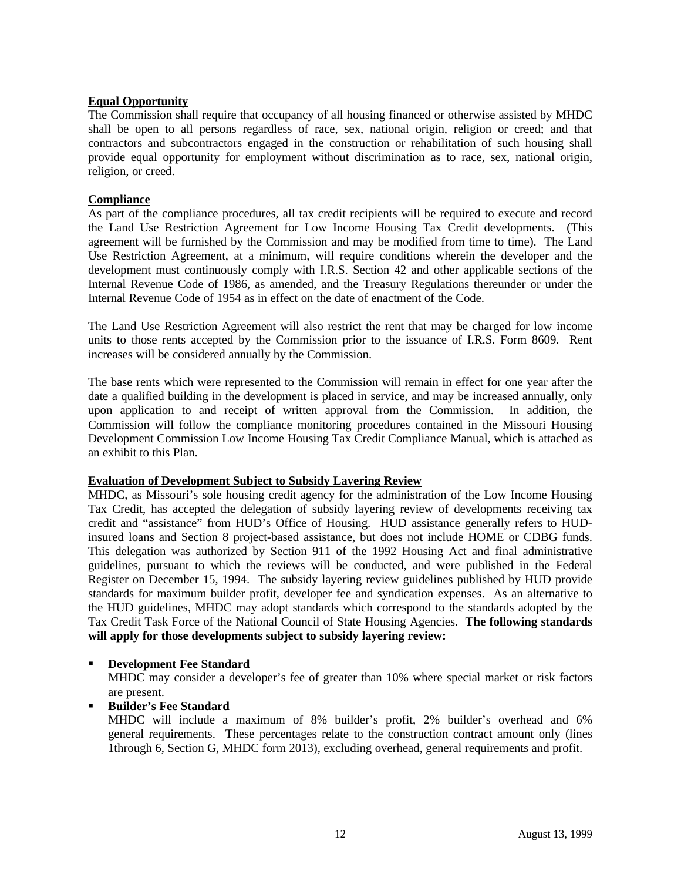# **Equal Opportunity**

The Commission shall require that occupancy of all housing financed or otherwise assisted by MHDC shall be open to all persons regardless of race, sex, national origin, religion or creed; and that contractors and subcontractors engaged in the construction or rehabilitation of such housing shall provide equal opportunity for employment without discrimination as to race, sex, national origin, religion, or creed.

# **Compliance**

As part of the compliance procedures, all tax credit recipients will be required to execute and record the Land Use Restriction Agreement for Low Income Housing Tax Credit developments. (This agreement will be furnished by the Commission and may be modified from time to time). The Land Use Restriction Agreement, at a minimum, will require conditions wherein the developer and the development must continuously comply with I.R.S. Section 42 and other applicable sections of the Internal Revenue Code of 1986, as amended, and the Treasury Regulations thereunder or under the Internal Revenue Code of 1954 as in effect on the date of enactment of the Code.

The Land Use Restriction Agreement will also restrict the rent that may be charged for low income units to those rents accepted by the Commission prior to the issuance of I.R.S. Form 8609. Rent increases will be considered annually by the Commission.

The base rents which were represented to the Commission will remain in effect for one year after the date a qualified building in the development is placed in service, and may be increased annually, only upon application to and receipt of written approval from the Commission. In addition, the Commission will follow the compliance monitoring procedures contained in the Missouri Housing Development Commission Low Income Housing Tax Credit Compliance Manual, which is attached as an exhibit to this Plan.

## **Evaluation of Development Subject to Subsidy Layering Review**

MHDC, as Missouri's sole housing credit agency for the administration of the Low Income Housing Tax Credit, has accepted the delegation of subsidy layering review of developments receiving tax credit and "assistance" from HUD's Office of Housing. HUD assistance generally refers to HUDinsured loans and Section 8 project-based assistance, but does not include HOME or CDBG funds. This delegation was authorized by Section 911 of the 1992 Housing Act and final administrative guidelines, pursuant to which the reviews will be conducted, and were published in the Federal Register on December 15, 1994. The subsidy layering review guidelines published by HUD provide standards for maximum builder profit, developer fee and syndication expenses. As an alternative to the HUD guidelines, MHDC may adopt standards which correspond to the standards adopted by the Tax Credit Task Force of the National Council of State Housing Agencies. **The following standards will apply for those developments subject to subsidy layering review:**

# **EXECUTE:** Development Fee Standard

MHDC may consider a developer's fee of greater than 10% where special market or risk factors are present.

ß **Builder's Fee Standard**

MHDC will include a maximum of 8% builder's profit, 2% builder's overhead and 6% general requirements. These percentages relate to the construction contract amount only (lines 1through 6, Section G, MHDC form 2013), excluding overhead, general requirements and profit.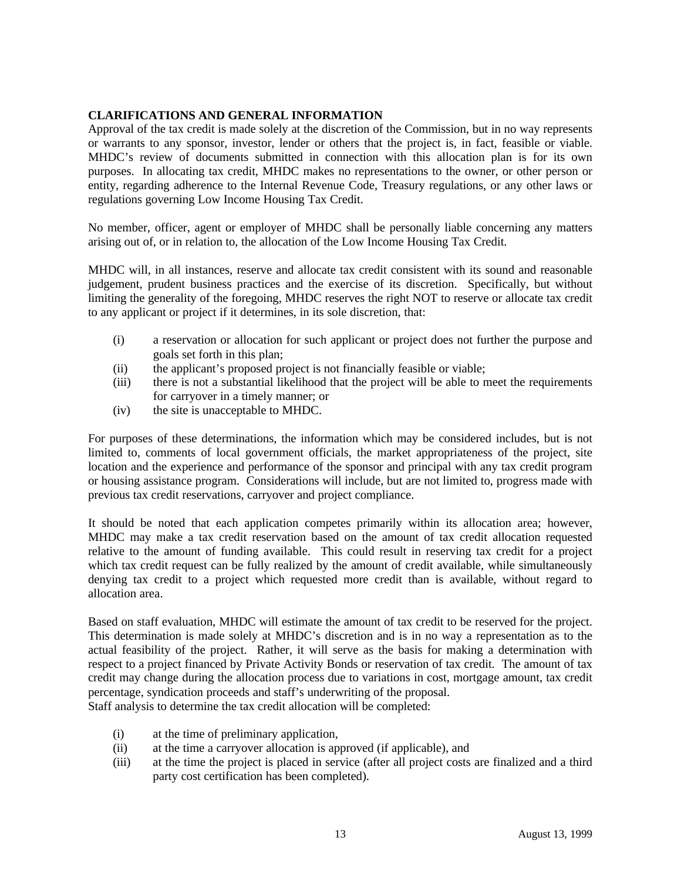# **CLARIFICATIONS AND GENERAL INFORMATION**

Approval of the tax credit is made solely at the discretion of the Commission, but in no way represents or warrants to any sponsor, investor, lender or others that the project is, in fact, feasible or viable. MHDC's review of documents submitted in connection with this allocation plan is for its own purposes. In allocating tax credit, MHDC makes no representations to the owner, or other person or entity, regarding adherence to the Internal Revenue Code, Treasury regulations, or any other laws or regulations governing Low Income Housing Tax Credit.

No member, officer, agent or employer of MHDC shall be personally liable concerning any matters arising out of, or in relation to, the allocation of the Low Income Housing Tax Credit.

MHDC will, in all instances, reserve and allocate tax credit consistent with its sound and reasonable judgement, prudent business practices and the exercise of its discretion. Specifically, but without limiting the generality of the foregoing, MHDC reserves the right NOT to reserve or allocate tax credit to any applicant or project if it determines, in its sole discretion, that:

- (i) a reservation or allocation for such applicant or project does not further the purpose and goals set forth in this plan;
- (ii) the applicant's proposed project is not financially feasible or viable;
- (iii) there is not a substantial likelihood that the project will be able to meet the requirements for carryover in a timely manner; or
- (iv) the site is unacceptable to MHDC.

For purposes of these determinations, the information which may be considered includes, but is not limited to, comments of local government officials, the market appropriateness of the project, site location and the experience and performance of the sponsor and principal with any tax credit program or housing assistance program. Considerations will include, but are not limited to, progress made with previous tax credit reservations, carryover and project compliance.

It should be noted that each application competes primarily within its allocation area; however, MHDC may make a tax credit reservation based on the amount of tax credit allocation requested relative to the amount of funding available. This could result in reserving tax credit for a project which tax credit request can be fully realized by the amount of credit available, while simultaneously denying tax credit to a project which requested more credit than is available, without regard to allocation area.

Based on staff evaluation, MHDC will estimate the amount of tax credit to be reserved for the project. This determination is made solely at MHDC's discretion and is in no way a representation as to the actual feasibility of the project. Rather, it will serve as the basis for making a determination with respect to a project financed by Private Activity Bonds or reservation of tax credit. The amount of tax credit may change during the allocation process due to variations in cost, mortgage amount, tax credit percentage, syndication proceeds and staff's underwriting of the proposal. Staff analysis to determine the tax credit allocation will be completed:

- (i) at the time of preliminary application,
- (ii) at the time a carryover allocation is approved (if applicable), and
- (iii) at the time the project is placed in service (after all project costs are finalized and a third party cost certification has been completed).